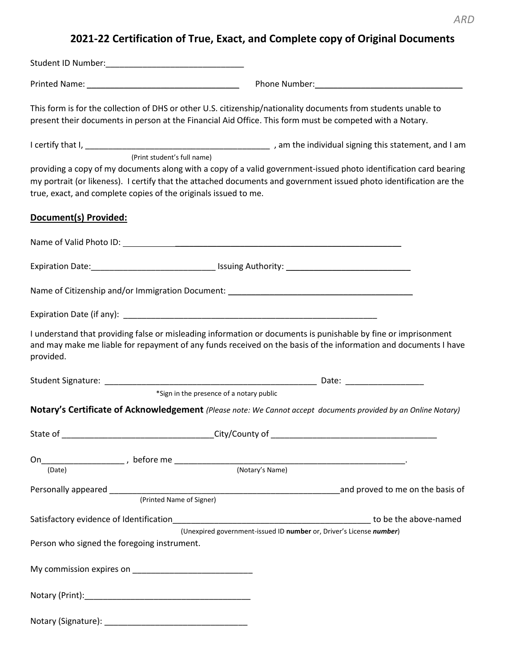## *ARD*

## **2021-22 Certification of True, Exact, and Complete copy of Original Documents**

Student ID Number:\_\_\_\_\_\_\_\_\_\_\_\_\_\_\_\_\_\_\_\_\_\_\_\_\_\_\_\_\_\_

Printed Name: The contract of the Phone Number:

This form is for the collection of DHS or other U.S. citizenship/nationality documents from students unable to present their documents in person at the Financial Aid Office. This form must be competed with a Notary.

I certify that I, \_\_\_\_\_\_\_\_\_\_\_\_\_\_\_\_\_\_\_\_\_\_\_\_\_\_\_\_\_\_\_\_\_\_\_\_\_\_\_\_ , am the individual signing this statement, and I am (Print student's full name)

providing a copy of my documents along with a copy of a valid government-issued photo identification card bearing my portrait (or likeness). I certify that the attached documents and government issued photo identification are the true, exact, and complete copies of the originals issued to me.

## **Document(s) Provided:**

|                                             |                          | Name of Citizenship and/or Immigration Document: ________________________________                                                                                                                                                 |  |
|---------------------------------------------|--------------------------|-----------------------------------------------------------------------------------------------------------------------------------------------------------------------------------------------------------------------------------|--|
|                                             |                          |                                                                                                                                                                                                                                   |  |
| provided.                                   |                          | I understand that providing false or misleading information or documents is punishable by fine or imprisonment<br>and may make me liable for repayment of any funds received on the basis of the information and documents I have |  |
|                                             |                          |                                                                                                                                                                                                                                   |  |
|                                             |                          | *Sign in the presence of a notary public                                                                                                                                                                                          |  |
|                                             |                          | Notary's Certificate of Acknowledgement (Please note: We Cannot accept documents provided by an Online Notary)                                                                                                                    |  |
|                                             |                          |                                                                                                                                                                                                                                   |  |
|                                             |                          | On $\frac{1}{\sqrt{2\pi} \cdot \ln 2}$ , before me $\frac{1}{\sqrt{2\pi} \cdot \ln 2}$ .                                                                                                                                          |  |
|                                             |                          |                                                                                                                                                                                                                                   |  |
|                                             | (Printed Name of Signer) |                                                                                                                                                                                                                                   |  |
|                                             |                          | Satisfactory evidence of Identification <b>Satisfactory</b> to be the above-named                                                                                                                                                 |  |
| Person who signed the foregoing instrument. |                          | (Unexpired government-issued ID number or, Driver's License number)                                                                                                                                                               |  |
|                                             |                          |                                                                                                                                                                                                                                   |  |
|                                             |                          |                                                                                                                                                                                                                                   |  |
|                                             |                          |                                                                                                                                                                                                                                   |  |